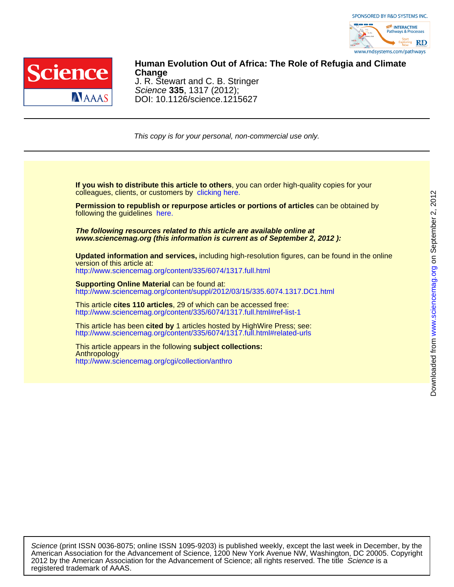



DOI: 10.1126/science.1215627 Science **335**, 1317 (2012); J. R. Stewart and C. B. Stringer **Change Human Evolution Out of Africa: The Role of Refugia and Climate**

This copy is for your personal, non-commercial use only.

colleagues, clients, or customers by [clicking here.](http://www.sciencemag.org/about/permissions.dtl) **If you wish to distribute this article to others**, you can order high-quality copies for your

following the guidelines [here.](http://www.sciencemag.org/about/permissions.dtl) **Permission to republish or repurpose articles or portions of articles** can be obtained by

**www.sciencemag.org (this information is current as of September 2, 2012 ): The following resources related to this article are available online at**

<http://www.sciencemag.org/content/335/6074/1317.full.html> version of this article at: **Updated information and services,** including high-resolution figures, can be found in the online

http://www.sciencemag.org/content/suppl/2012/03/15/335.6074.1317.DC1.html **Supporting Online Material can be found at:** 

<http://www.sciencemag.org/content/335/6074/1317.full.html#ref-list-1> This article **cites 110 articles**, 29 of which can be accessed free:

<http://www.sciencemag.org/content/335/6074/1317.full.html#related-urls> This article has been **cited by** 1 articles hosted by HighWire Press; see:

<http://www.sciencemag.org/cgi/collection/anthro> **Anthropology** This article appears in the following **subject collections:**

registered trademark of AAAS. 2012 by the American Association for the Advancement of Science; all rights reserved. The title Science is a American Association for the Advancement of Science, 1200 New York Avenue NW, Washington, DC 20005. Copyright Science (print ISSN 0036-8075; online ISSN 1095-9203) is published weekly, except the last week in December, by the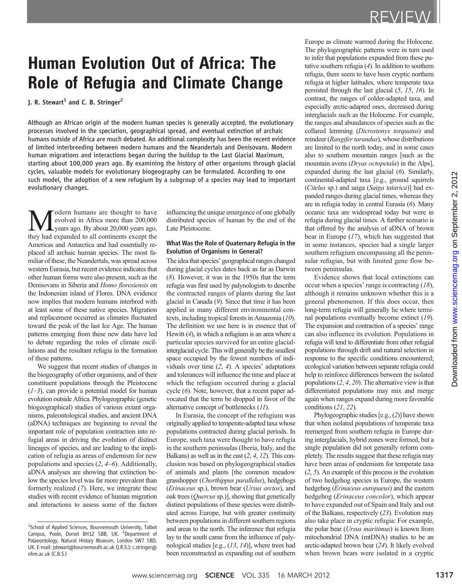# Human Evolution Out of Africa: The Role of Refugia and Climate Change

J. R. Stewart $<sup>1</sup>$  and C. B. Stringer $<sup>2</sup>$ </sup></sup>

Although an African origin of the modern human species is generally accepted, the evolutionary processes involved in the speciation, geographical spread, and eventual extinction of archaic humans outside of Africa are much debated. An additional complexity has been the recent evidence of limited interbreeding between modern humans and the Neandertals and Denisovans. Modern human migrations and interactions began during the buildup to the Last Glacial Maximum, starting about 100,000 years ago. By examining the history of other organisms through glacial cycles, valuable models for evolutionary biogeography can be formulated. According to one such model, the adoption of a new refugium by a subgroup of a species may lead to important evolutionary changes.

**M**odern humans are thought to have<br>years ago. By about 20,000 years ago,<br>they had expanded to all continents except the evolved in Africa more than 200,000 they had expanded to all continents except the Americas and Antarctica and had essentially replaced all archaic human species. The most familiar of these, the Neandertals, was spread across western Eurasia, but recent evidence indicates that other human forms were also present, such as the Denisovans in Siberia and Homo floresiensis on the Indonesian island of Flores. DNA evidence now implies that modern humans interbred with at least some of these native species. Migration and replacement occurred as climates fluctuated toward the peak of the last Ice Age. The human patterns emerging from these new data have led to debate regarding the roles of climate oscillations and the resultant refugia in the formation of these patterns.

We suggest that recent studies of changes in the biogeography of other organisms, and of their constituent populations through the Pleistocene  $(1-3)$ , can provide a potential model for human evolution outside Africa. Phylogeographic (genetic biogeographical) studies of various extant organisms, paleontological studies, and ancient DNA (aDNA) techniques are beginning to reveal the important role of population contraction into refugial areas in driving the evolution of distinct lineages of species, and are leading to the implication of refugia as areas of endemism for new populations and species (2, 4–6). Additionally, aDNA analyses are showing that extinction below the species level was far more prevalent than formerly realized (7). Here, we integrate these studies with recent evidence of human migration and interactions to assess some of the factors influencing the unique emergence of one globally distributed species of human by the end of the Late Pleistocene.

### What Was the Role of Quaternary Refugia in the Evolution of Organisms in General?

The idea that species' geographical ranges changed during glacial cycles dates back as far as Darwin (8). However, it was in the 1950s that the term refugia was first used by palynologists to describe the contracted ranges of plants during the last glacial in Canada (9). Since that time it has been applied in many different environmental contexts, including tropical forests in Amazonia (10). The definition we use here is in essence that of Hewitt (4), in which a refugium is an area where a particular species survived for an entire glacialinterglacial cycle. This will generally be the smallest space occupied by the fewest numbers of individuals over time  $(2, 4)$ . A species' adaptations and tolerances will influence the time and place at which the refugium occurred during a glacial cycle (6). Note, however, that a recent paper advocated that the term be dropped in favor of the alternative concept of bottlenecks (11). where we consider the septect of the consider and we consider the septect of the septect of the septect of the septect of the septect of the septect of the septect of the septect of the septect of the septect of the septe

In Eurasia, the concept of the refugium was originally applied to temperate-adapted taxa whose populations contracted during glacial periods. In Europe, such taxa were thought to have refugia in the southern peninsulas (Iberia, Italy, and the Balkans) as well as in the east  $(2, 4, 12)$ . This conclusion was based on phylogeographical studies of animals and plants [the common meadow grasshopper (Chorthippus parallelus), hedgehogs (Erinaceus sp.), brown bear (Ursus arctos), and oak trees (*Quercus* sp.)], showing that genetically distinct populations of these species were distributed across Europe, but with greater continuity between populations in different southern regions and areas to the north. The inference that refugia lay to the south came from the influence of palynological studies [e.g., (13, 14)], where trees had been reconstructed as expanding out of southern

Europe as climate warmed during the Holocene. The phylogeographic patterns were in turn used to infer that populations expanded from these putative southern refugia (4). In addition to southern refugia, there seem to have been cryptic northern refugia at higher latitudes, where temperate taxa persisted through the last glacial (5, 15, 16). In contrast, the ranges of colder-adapted taxa, and especially arctic-adapted ones, decreased during interglacials such as the Holocene. For example, the ranges and abundances of species such as the collared lemming (Dicrostonyx torquatus) and reindeer (Rangifer tarandus), whose distributions are limited to the north today, and in some cases also to southern mountain ranges [such as the mountain avens (*Dryas octopetala*) in the Alps], expanded during the last glacial (6). Similarly, continental-adapted taxa [e.g., ground squirrels (Citelus sp.) and saiga (Saiga tatarica)] had expanded ranges during glacial times, whereas they are in refugia today in central Eurasia (6). Many oceanic taxa are widespread today but were in refugia during glacial times. A further scenario is that offered by the analysis of aDNA of brown bear in Europe (17), which has suggested that in some instances, species had a single larger southern refugium encompassing all the peninsular refugias, but with limited gene flow between peninsulas.

Evidence shows that local extinctions can occur when a species' range is contracting  $(18)$ , although it remains unknown whether this is a general phenomenon. If this does occur, then long-term refugia will generally lie where terminal populations eventually become extinct (19). The expansion and contraction of a species' range can also influence its evolution. Populations in refugia will tend to differentiate from other refugial populations through drift and natural selection in response to the specific conditions encountered; ecological variation between separate refugia could help to reinforce differences between the isolated populations  $(2, 4, 20)$ . The alternative view is that differentiated populations may mix and merge again when ranges expand during more favorable conditions (21, 22).

Phylogeographic studies [e.g., (2)] have shown that when isolated populations of temperate taxa reemerged from southern refugia in Europe during interglacials, hybrid zones were formed, but a single population did not generally reform completely. The results suggest that these refugia may have been areas of endemism for temperate taxa (2, 5). An example of this process is the evolution of two hedgehog species in Europe, the western hedgehog (Erinaceus europaeus) and the eastern hedgehog (Erinaceus concolor), which appear to have expanded out of Spain and Italy and out of the Balkans, respectively (23). Evolution may also take place in cryptic refugia: For example, the polar bear (Ursus maritimus) is known from mitochondrial DNA (mtDNA) studies to be an arctic-adapted brown bear (24). It likely evolved when brown bears were isolated in a cryptic

<sup>&</sup>lt;sup>1</sup>School of Applied Sciences, Bournemouth University, Talbot Campus, Poole, Dorset BH12 5BB, UK. <sup>2</sup>Department of Palaeontology, Natural History Museum, London SW7 5BD, UK. E-mail: jstewart@bournemouth.ac.uk (J.R.S.); c.stringer@ nhm.ac.uk (C.B.S.)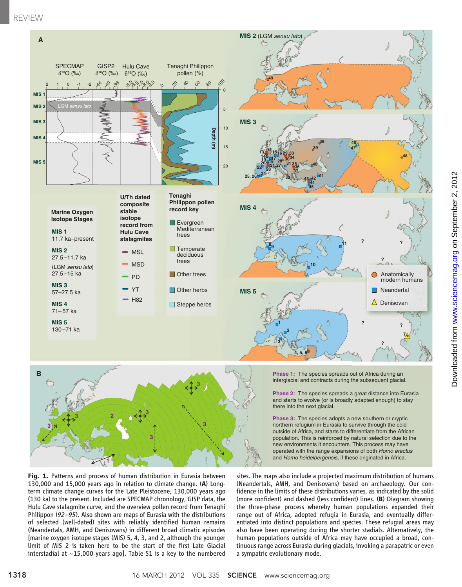# REVIEW



**Phase 2:** The species spreads a great distance into Eurasia and starts to evolve (or is broadly adapted enough) to stay there into the next glacial.

**Phase 3:** The species adopts a new southern or cryptic northern refugium in Eurasia to survive through the cold outside of Africa, and starts to differentiate from the African population. This is reinforced by natural selection due to the new environments it encounters. This process may have operated with the range expansions of both *Homo erectus* and *Homo heidelbergensis*, if these originated in Africa. **<sup>1</sup>**

sites. The maps also include a projected maximum distribution of humans (Neandertals, AMH, and Denisovans) based on archaeology. Our confidence in the limits of these distributions varies, as indicated by the solid (more confident) and dashed (less confident) lines. (B) Diagram showing the three-phase process whereby human populations expanded their range out of Africa, adopted refugia in Eurasia, and eventually differentiated into distinct populations and species. These refugial areas may also have been operating during the shorter stadials. Alternatively, the human populations outside of Africa may have occupied a broad, continuous range across Eurasia during glacials, invoking a parapatric or even a sympatric evolutionary mode.

Fig. 1. Patterns and process of human distribution in Eurasia between 130,000 and 15,000 years ago in relation to climate change. (A) Longterm climate change curves for the Late Pleistocene, 130,000 years ago (130 ka) to the present. Included are SPECMAP chronology, GISP data, the Hulu Cave stalagmite curve, and the overview pollen record from Tenaghi Philippon (92*–*95). Also shown are maps of Eurasia with the distributions of selected (well-dated) sites with reliably identified human remains (Neandertals, AMH, and Denisovans) in different broad climatic episodes [marine oxygen isotope stages (MIS) 5, 4, 3, and 2, although the younger limit of MIS 2 is taken here to be the start of the first Late Glacial interstadial at  $\sim$ 15,000 years ago]. Table S1 is a key to the numbered

2  $\longleftrightarrow$ <sup>3</sup>

**3**

**3**

**3**

**3**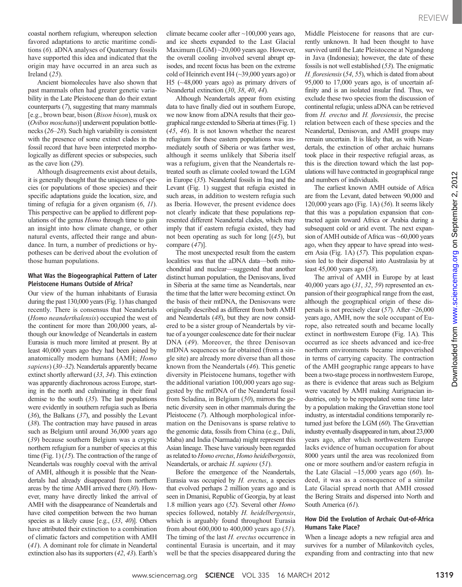coastal northern refugium, whereupon selection favored adaptations to arctic maritime conditions (6). aDNA analyses of Quaternary fossils have supported this idea and indicated that the origin may have occurred in an area such as Ireland (25).

Ancient biomolecules have also shown that past mammals often had greater genetic variability in the Late Pleistocene than do their extant counterparts (7), suggesting that many mammals [e.g., brown bear, bison (Bison bison), musk ox (Ovibos moschatus)] underwent population bottlenecks (26–28). Such high variability is consistent with the presence of some extinct clades in the fossil record that have been interpreted morphologically as different species or subspecies, such as the cave lion (29).

Although disagreements exist about details, it is generally thought that the uniqueness of species (or populations of those species) and their specific adaptations guide the location, size, and timing of refugia for a given organism (6, 11). This perspective can be applied to different populations of the genus Homo through time to gain an insight into how climate change, or other natural events, affected their range and abundance. In turn, a number of predictions or hypotheses can be derived about the evolution of those human populations.

#### What Was the Biogeographical Pattern of Later Pleistocene Humans Outside of Africa?

Our view of the human inhabitants of Eurasia during the past 130,000 years (Fig. 1) has changed recently. There is consensus that Neandertals (Homo neanderthalensis) occupied the west of the continent for more than 200,000 years, although our knowledge of Neandertals in eastern Eurasia is much more limited at present. By at least 40,000 years ago they had been joined by anatomically modern humans (AMH; Homo sapiens) (30–32). Neandertals apparently became extinct shortly afterward (33, 34). This extinction was apparently diachronous across Europe, starting in the north and culminating in their final demise to the south  $(35)$ . The last populations were evidently in southern refugia such as Iberia (36), the Balkans (37), and possibly the Levant (38). The contraction may have paused in areas such as Belgium until around 36,000 years ago (39) because southern Belgium was a cryptic northern refugium for a number of species at this time (Fig. 1)  $(15)$ . The contraction of the range of Neandertals was roughly coeval with the arrival of AMH, although it is possible that the Neandertals had already disappeared from northern areas by the time AMH arrived there (30). However, many have directly linked the arrival of AMH with the disappearance of Neandertals and have cited competition between the two human species as a likely cause [e.g.,  $(33, 40)$ ]. Others have attributed their extinction to a combination of climatic factors and competition with AMH (41). A dominant role for climate in Neandertal extinction also has its supporters (42, 43). Earth's

climate became cooler after ~100,000 years ago, and ice sheets expanded to the Last Glacial Maximum (LGM) ~20,000 years ago. However, the overall cooling involved several abrupt episodes, and recent focus has been on the extreme cold of Heinrich event H4 (~39,000 years ago) or H5 (~48,000 years ago) as primary drivers of Neandertal extinction (30, 38, 40, 44).

Although Neandertals appear from existing data to have finally died out in southern Europe, we now know from aDNA results that their geographical range extended to Siberia at times (Fig. 1) (45, 46). It is not known whether the nearest refugium for these eastern populations was immediately south of Siberia or was farther west, although it seems unlikely that Siberia itself was a refugium, given that the Neandertals retreated south as climate cooled toward the LGM in Europe (35). Neandertal fossils in Iraq and the Levant (Fig. 1) suggest that refugia existed in such areas, in addition to western refugia such as Iberia. However, the present evidence does not clearly indicate that these populations represented different Neandertal clades, which may imply that if eastern refugia existed, they had not been operating as such for long  $[(45)$ , but compare (47)].

The most unexpected result from the eastern localities was that the aDNA data—both mitochondrial and nuclear—suggested that another distinct human population, the Denisovans, lived in Siberia at the same time as Neandertals, near the time that the latter were becoming extinct. On the basis of their mtDNA, the Denisovans were originally described as different from both AMH and Neandertals (48), but they are now considered to be a sister group of Neandertals by virtue of a younger coalescence date for their nuclear DNA (49). Moreover, the three Denisovan mtDNA sequences so far obtained (from a single site) are already more diverse than all those known from the Neandertals (46). This genetic diversity in Pleistocene humans, together with the additional variation 100,000 years ago suggested by the mtDNA of the Neandertal fossil from Scladina, in Belgium (50), mirrors the genetic diversity seen in other mammals during the Pleistocene (7). Although morphological information on the Denisovans is sparse relative to the genomic data, fossils from China (e.g., Dali, Maba) and India (Narmada) might represent this Asian lineage. These have variously been regarded as related to Homo erectus, Homo heidelbergensis, Neandertals, or archaic H. sapiens (51).

Before the emergence of the Neandertals, Eurasia was occupied by H. erectus, a species that evolved perhaps 2 million years ago and is seen in Dmanisi, Republic of Georgia, by at least 1.8 million years ago (52). Several other Homo species followed, notably H. heidelbergensis, which is arguably found throughout Eurasia from about 600,000 to 400,000 years ago  $(51)$ . The timing of the last H. erectus occurrence in continental Eurasia is uncertain, and it may well be that the species disappeared during the

Middle Pleistocene for reasons that are currently unknown. It had been thought to have survived until the Late Pleistocene at Ngandong in Java (Indonesia); however, the date of these fossils is not well established (53). The enigmatic H. floresiensis (54, 55), which is dated from about 95,000 to 17,000 years ago, is of uncertain affinity and is an isolated insular find. Thus, we exclude these two species from the discussion of continental refugia; unless aDNA can be retrieved from H. erectus and H. floresiensis, the precise relation between each of these species and the Neandertal, Denisovan, and AMH groups may remain uncertain. It is likely that, as with Neandertals, the extinction of other archaic humans took place in their respective refugial areas, as this is the direction toward which the last populations will have contracted in geographical range and numbers of individuals.

The earliest known AMH outside of Africa are from the Levant, dated between 90,000 and 120,000 years ago (Fig. 1A) (56). It seems likely that this was a population expansion that contracted again toward Africa or Arabia during a subsequent cold or arid event. The next expansion of AMH outside of Africa was ~60,000 years ago, when they appear to have spread into western Asia (Fig. 1A) (57). This population expansion led to their dispersal into Australasia by at least 45,000 years ago (58).

The arrival of AMH in Europe by at least 40,000 years ago (31, 32, 59) represented an expansion of their geographical range from the east, although the geographical origin of these dispersals is not precisely clear  $(57)$ . After  $\sim$ 26,000 years ago, AMH, now the sole occupant of Europe, also retreated south and became locally extinct in northwestern Europe (Fig. 1A). This occurred as ice sheets advanced and ice-free northern environments became impoverished in terms of carrying capacity. The contraction of the AMH geographic range appears to have been a two-stage process in northwestern Europe, as there is evidence that areas such as Belgium were vacated by AMH making Aurignacian industries, only to be repopulated some time later by a population making the Gravettian stone tool industry, as interstadial conditions temporarily returned just before the LGM (60). The Gravettian industry eventually disappeared in turn, about 23,000 years ago, after which northwestern Europe lacks evidence of human occupation for about 8000 years until the area was recolonized from one or more southern and/or eastern refugia in the Late Glacial  $~15,000$  years ago (60). Indeed, it was as a consequence of a similar Late Glacial spread north that AMH crossed the Bering Straits and dispersed into North and South America (61).

#### How Did the Evolution of Archaic Out-of-Africa Humans Take Place?

When a lineage adopts a new refugial area and survives for a number of Milankovitch cycles, expanding from and contracting into that new on September 2, 2012

 $\mathbf{\Omega}$ 201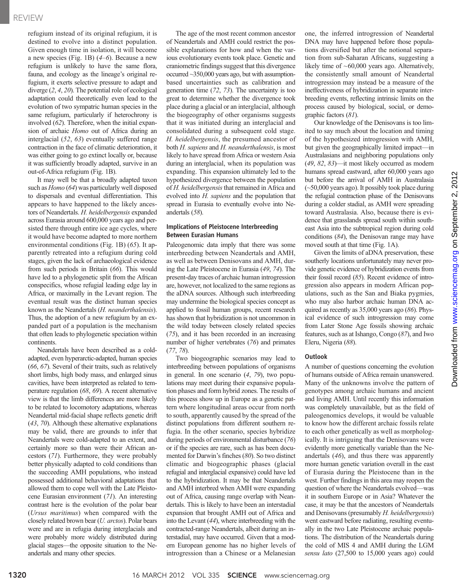## REVIEW

refugium instead of its original refugium, it is destined to evolve into a distinct population. Given enough time in isolation, it will become a new species (Fig. 1B) (4–6). Because a new refugium is unlikely to have the same flora, fauna, and ecology as the lineage's original refugium, it exerts selective pressure to adapt and diverge (2, 4, 20). The potential role of ecological adaptation could theoretically even lead to the evolution of two sympatric human species in the same refugium, particularly if heterochrony is involved (62). Therefore, when the initial expansion of archaic Homo out of Africa during an interglacial (52, 63) eventually suffered range contraction in the face of climatic deterioration, it was either going to go extinct locally or, because it was sufficiently broadly adapted, survive in an out-of-Africa refugium (Fig. 1B).

It may well be that a broadly adapted taxon such as Homo (64) was particularly well disposed to dispersals and eventual differentiation. This appears to have happened to the likely ancestors of Neandertals. H. heidelbergensis expanded across Eurasia around 600,000 years ago and persisted there through entire ice age cycles, where it would have become adapted to more northern environmental conditions (Fig. 1B) (65). It apparently retreated into a refugium during cold stages, given the lack of archaeological evidence from such periods in Britain (66). This would have led to a phylogenetic split from the African conspecifics, whose refugial leading edge lay in Africa, or maximally in the Levant region. The eventual result was the distinct human species known as the Neandertals (H. neanderthalensis). Thus, the adoption of a new refugium by an expanded part of a population is the mechanism that often leads to phylogenetic speciation within continents.

Neandertals have been described as a coldadapted, even hyperarctic-adapted, human species (66, 67). Several of their traits, such as relatively short limbs, high body mass, and enlarged sinus cavities, have been interpreted as related to temperature regulation (68, 69). A recent alternative view is that the limb differences are more likely to be related to locomotory adaptations, whereas Neandertal mid-facial shape reflects genetic drift (43, 70). Although these alternative explanations may be valid, there are grounds to infer that Neandertals were cold-adapted to an extent, and certainly more so than were their African ancestors (71). Furthermore, they were probably better physically adapted to cold conditions than the succeeding AMH populations, who instead possessed additional behavioral adaptations that allowed them to cope well with the Late Pleistocene Eurasian environment (71). An interesting contrast here is the evolution of the polar bear (Ursus maritimus) when compared with the closely related brown bear (U. arctos). Polar bears were and are in refugia during interglacials and were probably more widely distributed during glacial stages—the opposite situation to the Neandertals and many other species.

The age of the most recent common ancestor of Neandertals and AMH could restrict the possible explanations for how and when the various evolutionary events took place. Genetic and craniometric findings suggest that this divergence occurred ~350,000 years ago, but with assumptionbased uncertainties such as calibration and generation time (72, 73). The uncertainty is too great to determine whether the divergence took place during a glacial or an interglacial, although the biogeography of other organisms suggests that it was initiated during an interglacial and consolidated during a subsequent cold stage. H. heidelbergensis, the presumed ancestor of both H. sapiens and H. neanderthalensis, is most likely to have spread from Africa or western Asia during an interglacial, when its population was expanding. This expansion ultimately led to the hypothesized divergence between the population of H. heidelbergensis that remained in Africa and evolved into H. sapiens and the population that spread in Eurasia to eventually evolve into Neandertals (58).

#### Implications of Pleistocene Interbreeding Between Eurasian Humans

Paleogenomic data imply that there was some interbreeding between Neandertals and AMH, as well as between Denisovans and AMH, during the Late Pleistocene in Eurasia (49, 74). The present-day traces of archaic human introgression are, however, not localized to the same regions as the aDNA sources. Although such interbreeding may undermine the biological species concept as applied to fossil human groups, recent research has shown that hybridization is not uncommon in the wild today between closely related species (75), and it has been recorded in an increasing number of higher vertebrates (76) and primates (77, 78).

Two biogeographic scenarios may lead to interbreeding between populations of organisms in general. In one scenario (4, 79), two populations may meet during their expansive population phases and form hybrid zones. The results of this process show up in Europe as a genetic pattern where longitudinal areas occur from north to south, apparently caused by the spread of the distinct populations from different southern refugia. In the other scenario, species hybridize during periods of environmental disturbance (76) or if the species are rare, such as has been documented for Darwin's finches (80). So two distinct climatic and biogeographic phases (glacial refugial and interglacial expansive) could have led to the hybridization. It may be that Neandertals and AMH interbred when AMH were expanding out of Africa, causing range overlap with Neandertals. This is likely to have been an interstadial expansion that brought AMH out of Africa and into the Levant (44), where interbreeding with the contracted-range Neandertals, albeit during an interstadial, may have occurred. Given that a modern European genome has no higher levels of introgression than a Chinese or a Melanesian

one, the inferred introgression of Neandertal DNA may have happened before those populations diversified but after the notional separation from sub-Saharan Africans, suggesting a likely time of  $~60,000$  years ago. Alternatively, the consistently small amount of Neandertal introgression may instead be a measure of the ineffectiveness of hybridization in separate interbreeding events, reflecting intrinsic limits on the process caused by biological, social, or demographic factors (81).

Our knowledge of the Denisovans is too limited to say much about the location and timing of the hypothesized introgression with AMH, but given the geographically limited impact—in Australasians and neighboring populations only (49, 82, 83)—it most likely occurred as modern humans spread eastward, after 60,000 years ago but before the arrival of AMH in Australasia  $(-50,000$  years ago). It possibly took place during the refugial contraction phase of the Denisovans during a colder stadial, as AMH were spreading toward Australasia. Also, because there is evidence that grasslands spread south within southeast Asia into the subtropical region during cold conditions (84), the Denisovan range may have moved south at that time (Fig. 1A).

Given the limits of aDNA preservation, these southerly locations unfortunately may never provide genetic evidence of hybridization events from their fossil record (85). Recent evidence of introgression also appears in modern African populations, such as the San and Biaka pygmies, who may also harbor archaic human DNA acquired as recently as  $35,000$  years ago (86). Physical evidence of such introgression may come from Later Stone Age fossils showing archaic features, such as at Ishango, Congo (87), and Iwo Eleru, Nigeria (88).

#### Outlook

A number of questions concerning the evolution of humans outside of Africa remain unanswered. Many of the unknowns involve the pattern of genotypes among archaic humans and ancient and living AMH. Until recently this information was completely unavailable, but as the field of paleogenomics develops, it would be valuable to know how the different archaic fossils relate to each other genetically as well as morphologically. It is intriguing that the Denisovans were evidently more genetically variable than the Neandertals (46), and thus there was apparently more human genetic variation overall in the east of Eurasia during the Pleistocene than in the west. Further findings in this area may reopen the question of where the Neandertals evolved—was it in southern Europe or in Asia? Whatever the case, it may be that the ancestors of Neandertals and Denisovans (presumably H. heidelbergensis) went eastward before radiating, resulting eventually in the two Late Pleistocene archaic populations. The distribution of the Neandertals during the cold of MIS 4 and AMH during the LGM sensu lato (27,500 to 15,000 years ago) could